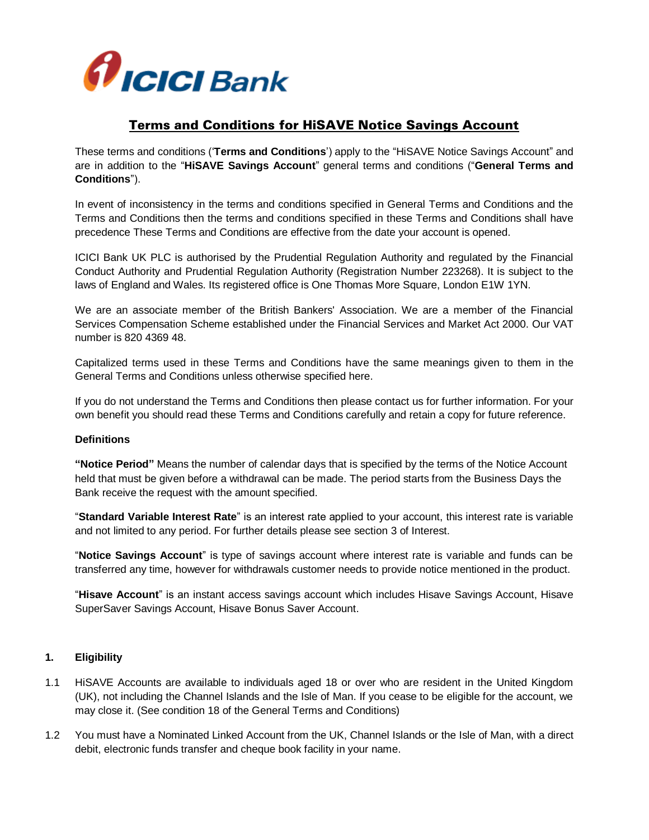

## Terms and Conditions for HiSAVE Notice Savings Account

These terms and conditions ('**Terms and Conditions**') apply to the "HiSAVE Notice Savings Account" and are in addition to the "**HiSAVE Savings Account**" general terms and conditions ("**General Terms and Conditions**").

In event of inconsistency in the terms and conditions specified in General Terms and Conditions and the Terms and Conditions then the terms and conditions specified in these Terms and Conditions shall have precedence These Terms and Conditions are effective from the date your account is opened.

ICICI Bank UK PLC is authorised by the Prudential Regulation Authority and regulated by the Financial Conduct Authority and Prudential Regulation Authority (Registration Number 223268). It is subject to the laws of England and Wales. Its registered office is One Thomas More Square, London E1W 1YN.

We are an associate member of the British Bankers' Association. We are a member of the Financial Services Compensation Scheme established under the Financial Services and Market Act 2000. Our VAT number is 820 4369 48.

Capitalized terms used in these Terms and Conditions have the same meanings given to them in the General Terms and Conditions unless otherwise specified here.

If you do not understand the Terms and Conditions then please contact us for further information. For your own benefit you should read these Terms and Conditions carefully and retain a copy for future reference.

#### **Definitions**

**"Notice Period"** Means the number of calendar days that is specified by the terms of the Notice Account held that must be given before a withdrawal can be made. The period starts from the Business Days the Bank receive the request with the amount specified.

"**Standard Variable Interest Rate**" is an interest rate applied to your account, this interest rate is variable and not limited to any period. For further details please see section 3 of Interest.

"**Notice Savings Account**" is type of savings account where interest rate is variable and funds can be transferred any time, however for withdrawals customer needs to provide notice mentioned in the product.

"**Hisave Account**" is an instant access savings account which includes Hisave Savings Account, Hisave SuperSaver Savings Account, Hisave Bonus Saver Account.

#### **1. Eligibility**

- 1.1 HiSAVE Accounts are available to individuals aged 18 or over who are resident in the United Kingdom (UK), not including the Channel Islands and the Isle of Man. If you cease to be eligible for the account, we may close it. (See condition 18 of the General Terms and Conditions)
- 1.2 You must have a Nominated Linked Account from the UK, Channel Islands or the Isle of Man, with a direct debit, electronic funds transfer and cheque book facility in your name.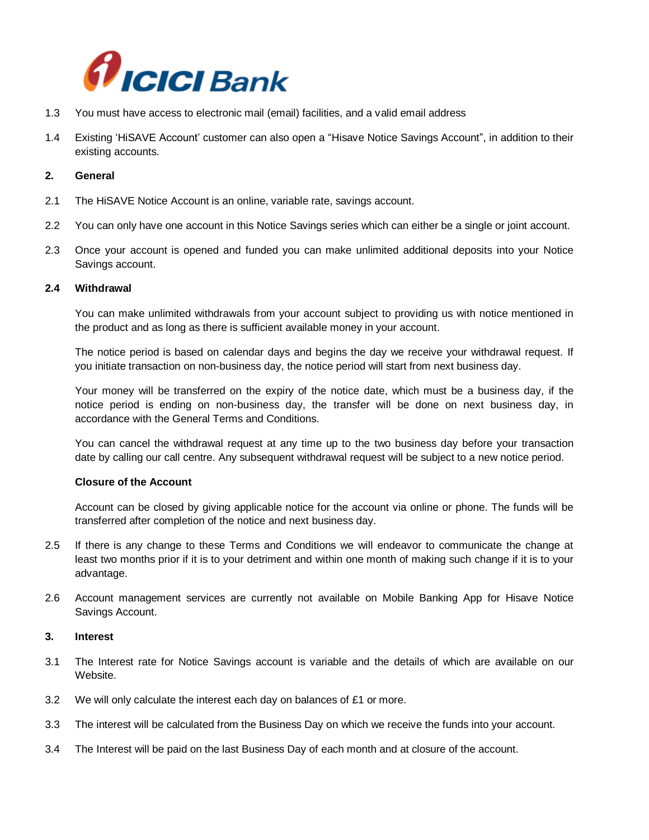

- 1.3 You must have access to electronic mail (email) facilities, and a valid email address
- 1.4 Existing 'HiSAVE Account' customer can also open a "Hisave Notice Savings Account", in addition to their existing accounts.

#### **2. General**

- 2.1 The HiSAVE Notice Account is an online, variable rate, savings account.
- 2.2 You can only have one account in this Notice Savings series which can either be a single or joint account.
- 2.3 Once your account is opened and funded you can make unlimited additional deposits into your Notice Savings account.

#### **2.4 Withdrawal**

You can make unlimited withdrawals from your account subject to providing us with notice mentioned in the product and as long as there is sufficient available money in your account.

The notice period is based on calendar days and begins the day we receive your withdrawal request. If you initiate transaction on non-business day, the notice period will start from next business day.

Your money will be transferred on the expiry of the notice date, which must be a business day, if the notice period is ending on non-business day, the transfer will be done on next business day, in accordance with the General Terms and Conditions.

You can cancel the withdrawal request at any time up to the two business day before your transaction date by calling our call centre. Any subsequent withdrawal request will be subject to a new notice period.

#### **Closure of the Account**

Account can be closed by giving applicable notice for the account via online or phone. The funds will be transferred after completion of the notice and next business day.

- 2.5 If there is any change to these Terms and Conditions we will endeavor to communicate the change at least two months prior if it is to your detriment and within one month of making such change if it is to your advantage.
- 2.6 Account management services are currently not available on Mobile Banking App for Hisave Notice Savings Account.

#### **3. Interest**

- 3.1 The Interest rate for Notice Savings account is variable and the details of which are available on our Website.
- 3.2 We will only calculate the interest each day on balances of £1 or more.
- 3.3 The interest will be calculated from the Business Day on which we receive the funds into your account.
- 3.4 The Interest will be paid on the last Business Day of each month and at closure of the account.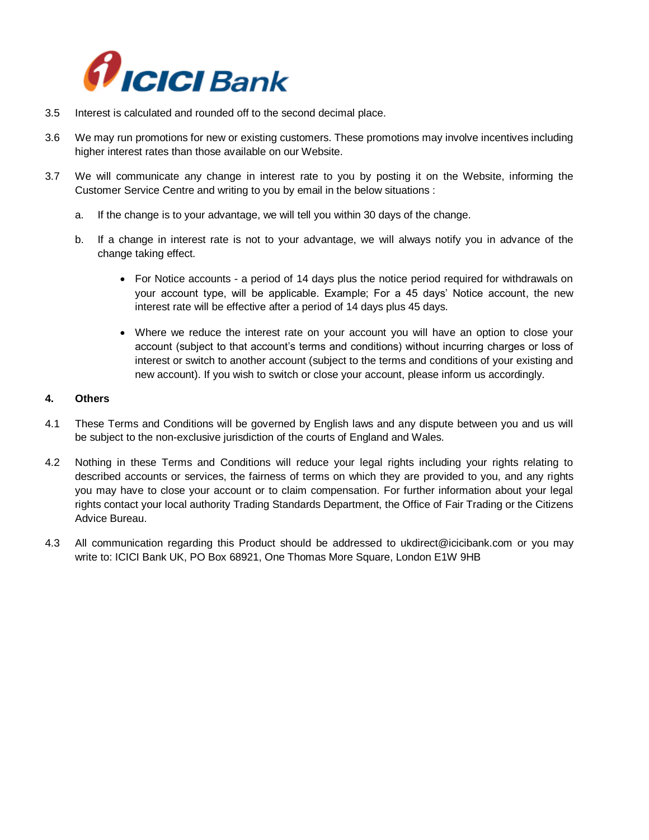

- 3.5 Interest is calculated and rounded off to the second decimal place.
- 3.6 We may run promotions for new or existing customers. These promotions may involve incentives including higher interest rates than those available on our Website.
- 3.7 We will communicate any change in interest rate to you by posting it on the Website, informing the Customer Service Centre and writing to you by email in the below situations :
	- a. If the change is to your advantage, we will tell you within 30 days of the change.
	- b. If a change in interest rate is not to your advantage, we will always notify you in advance of the change taking effect.
		- For Notice accounts a period of 14 days plus the notice period required for withdrawals on your account type, will be applicable. Example; For a 45 days' Notice account, the new interest rate will be effective after a period of 14 days plus 45 days.
		- Where we reduce the interest rate on your account you will have an option to close your account (subject to that account's terms and conditions) without incurring charges or loss of interest or switch to another account (subject to the terms and conditions of your existing and new account). If you wish to switch or close your account, please inform us accordingly.

#### **4. Others**

- 4.1 These Terms and Conditions will be governed by English laws and any dispute between you and us will be subject to the non-exclusive jurisdiction of the courts of England and Wales.
- 4.2 Nothing in these Terms and Conditions will reduce your legal rights including your rights relating to described accounts or services, the fairness of terms on which they are provided to you, and any rights you may have to close your account or to claim compensation. For further information about your legal rights contact your local authority Trading Standards Department, the Office of Fair Trading or the Citizens Advice Bureau.
- 4.3 All communication regarding this Product should be addressed to [ukdirect@icicibank.com](mailto:ukdirect@icicibank.com) or you may write to: ICICI Bank UK, PO Box 68921, One Thomas More Square, London E1W 9HB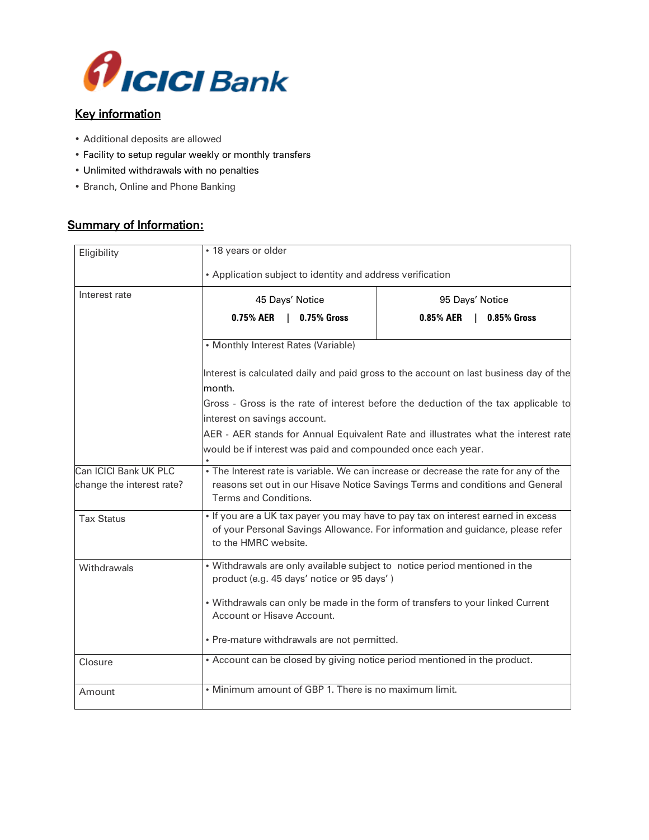

# Key information

- Additional deposits are allowed
- Facility to setup regular weekly or monthly transfers
- Unlimited withdrawals with no penalties
- Branch, Online and Phone Banking

## Summary of Information:

| Eligibility                                        | · 18 years or older                                                                                                                                                                            |                          |
|----------------------------------------------------|------------------------------------------------------------------------------------------------------------------------------------------------------------------------------------------------|--------------------------|
|                                                    | • Application subject to identity and address verification                                                                                                                                     |                          |
| Interest rate                                      | 45 Days' Notice                                                                                                                                                                                | 95 Days' Notice          |
|                                                    | 0.75% AER<br>$\perp$<br><b>0.75% Gross</b>                                                                                                                                                     | 0.85% AER<br>0.85% Gross |
|                                                    | • Monthly Interest Rates (Variable)                                                                                                                                                            |                          |
|                                                    | Interest is calculated daily and paid gross to the account on last business day of the<br>month.                                                                                               |                          |
|                                                    | Gross - Gross is the rate of interest before the deduction of the tax applicable to                                                                                                            |                          |
| interest on savings account.                       |                                                                                                                                                                                                |                          |
|                                                    | AER - AER stands for Annual Equivalent Rate and illustrates what the interest rate                                                                                                             |                          |
|                                                    | would be if interest was paid and compounded once each year.                                                                                                                                   |                          |
| Can ICICI Bank UK PLC<br>change the interest rate? | . The Interest rate is variable. We can increase or decrease the rate for any of the<br>reasons set out in our Hisave Notice Savings Terms and conditions and General<br>Terms and Conditions. |                          |
| <b>Tax Status</b>                                  | . If you are a UK tax payer you may have to pay tax on interest earned in excess<br>of your Personal Savings Allowance. For information and guidance, please refer<br>to the HMRC website.     |                          |
| Withdrawals                                        | . Withdrawals are only available subject to notice period mentioned in the<br>product (e.g. 45 days' notice or 95 days')                                                                       |                          |
|                                                    | . Withdrawals can only be made in the form of transfers to your linked Current<br>Account or Hisave Account.                                                                                   |                          |
|                                                    | • Pre-mature withdrawals are not permitted.                                                                                                                                                    |                          |
| Closure                                            | • Account can be closed by giving notice period mentioned in the product.                                                                                                                      |                          |
| Amount                                             | • Minimum amount of GBP 1. There is no maximum limit.                                                                                                                                          |                          |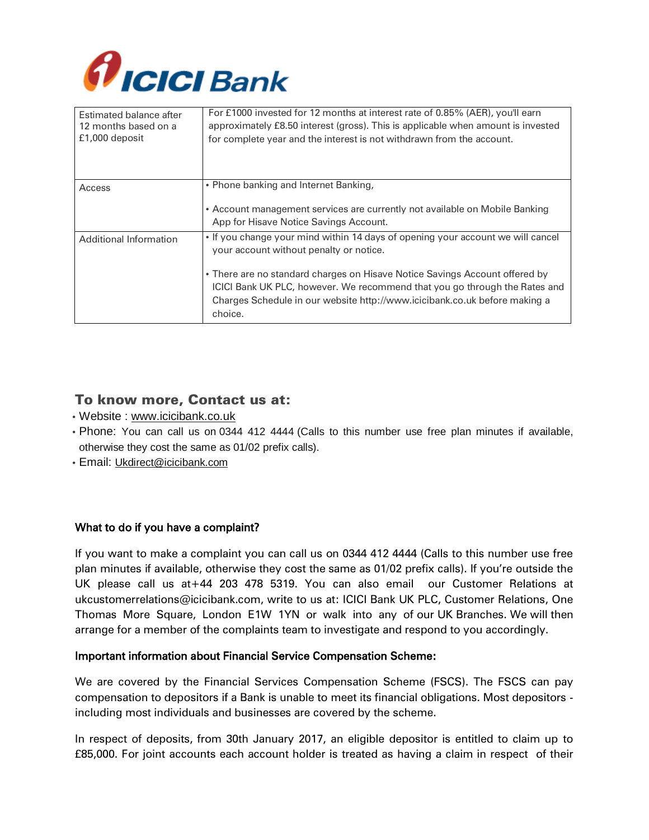

| Estimated balance after<br>12 months based on a<br>£1,000 deposit | For £1000 invested for 12 months at interest rate of 0.85% (AER), you'll earn<br>approximately £8.50 interest (gross). This is applicable when amount is invested<br>for complete year and the interest is not withdrawn from the account.                                                                                                                                       |
|-------------------------------------------------------------------|----------------------------------------------------------------------------------------------------------------------------------------------------------------------------------------------------------------------------------------------------------------------------------------------------------------------------------------------------------------------------------|
| Access                                                            | • Phone banking and Internet Banking,<br>• Account management services are currently not available on Mobile Banking<br>App for Hisave Notice Savings Account.                                                                                                                                                                                                                   |
| Additional Information                                            | . If you change your mind within 14 days of opening your account we will cancel<br>your account without penalty or notice.<br>• There are no standard charges on Hisave Notice Savings Account offered by<br>ICICI Bank UK PLC, however. We recommend that you go through the Rates and<br>Charges Schedule in our website http://www.icicibank.co.uk before making a<br>choice. |

### To know more, Contact us at:

- Website : [www.icicibank.co.uk](http://www.icicibank.co.uk/)
- Phone: You can call us on 0344 412 4444 (Calls to this number use free plan minutes if available, otherwise they cost the same as 01/02 prefix calls).
- Email: [Ukdirect@icicibank.com](mailto:Ukdirect@icicibank.com)

### What to do if you have a complaint?

If you want to make a complaint you can call us on 0344 412 4444 (Calls to this number use free plan minutes if available, otherwise they cost the same as 01/02 prefix calls). If you're outside the UK please call us at+44 203 478 5319. You can also email our Customer Relations at ukcustomerrelations@icicibank.com, write to us at: ICICI Bank UK PLC, Customer Relations, One Thomas More Square, London E1W 1YN or walk into any of our UK Branches. We will then arrange for a member of the complaints team to investigate and respond to you accordingly.

### Important information about Financial Service Compensation Scheme:

We are covered by the Financial Services Compensation Scheme (FSCS). The FSCS can pay compensation to depositors if a Bank is unable to meet its financial obligations. Most depositors including most individuals and businesses are covered by the scheme.

In respect of deposits, from 30th January 2017, an eligible depositor is entitled to claim up to £85,000. For joint accounts each account holder is treated as having a claim in respect of their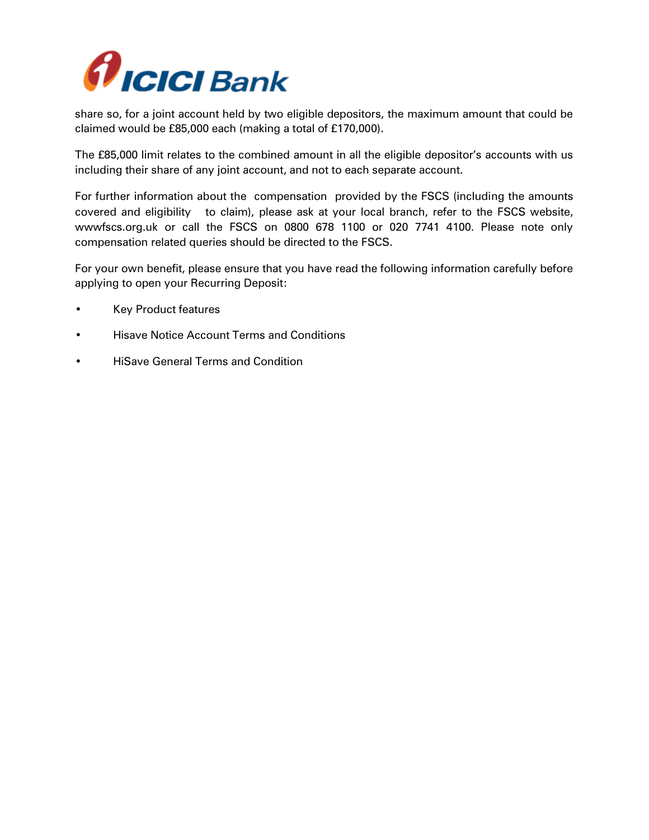

share so, for a joint account held by two eligible depositors, the maximum amount that could be claimed would be £85,000 each (making a total of £170,000).

The £85,000 limit relates to the combined amount in all the eligible depositor's accounts with us including their share of any joint account, and not to each separate account.

For further information about the compensation provided by the FSCS (including the amounts covered and eligibility to claim), please ask at your local branch, refer to the FSCS website, wwwfscs.org.uk or call the FSCS on 0800 678 1100 or 020 7741 4100. Please note only compensation related queries should be directed to the FSCS.

For your own benefit, please ensure that you have read the following information carefully before applying to open your Recurring Deposit:

- Key Product features
- Hisave Notice Account Terms and Conditions
- HiSave General Terms and Condition